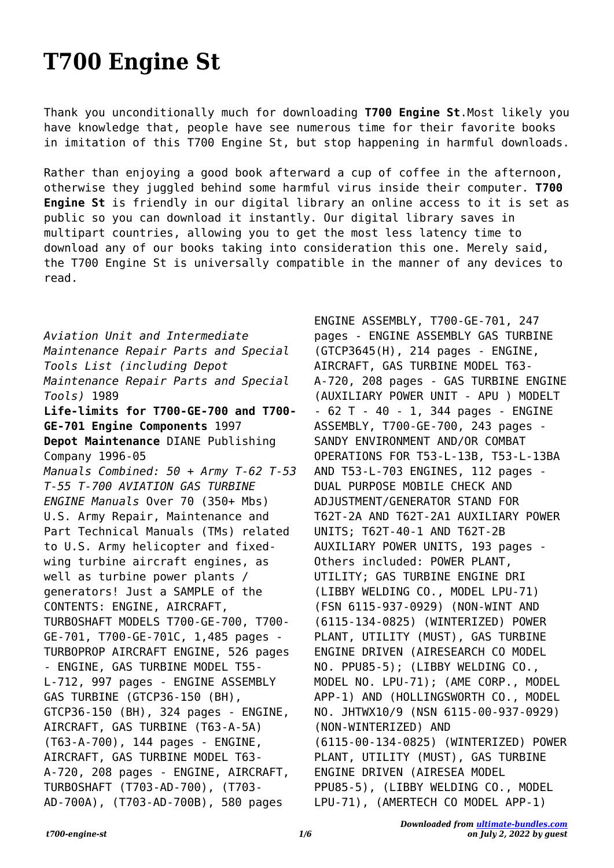## **T700 Engine St**

Thank you unconditionally much for downloading **T700 Engine St**.Most likely you have knowledge that, people have see numerous time for their favorite books in imitation of this T700 Engine St, but stop happening in harmful downloads.

Rather than enjoying a good book afterward a cup of coffee in the afternoon, otherwise they juggled behind some harmful virus inside their computer. **T700 Engine St** is friendly in our digital library an online access to it is set as public so you can download it instantly. Our digital library saves in multipart countries, allowing you to get the most less latency time to download any of our books taking into consideration this one. Merely said, the T700 Engine St is universally compatible in the manner of any devices to read.

*Aviation Unit and Intermediate Maintenance Repair Parts and Special Tools List (including Depot Maintenance Repair Parts and Special Tools)* 1989 **Life-limits for T700-GE-700 and T700- GE-701 Engine Components** 1997 **Depot Maintenance** DIANE Publishing Company 1996-05 *Manuals Combined: 50 + Army T-62 T-53 T-55 T-700 AVIATION GAS TURBINE ENGINE Manuals* Over 70 (350+ Mbs) U.S. Army Repair, Maintenance and Part Technical Manuals (TMs) related to U.S. Army helicopter and fixedwing turbine aircraft engines, as well as turbine power plants / generators! Just a SAMPLE of the CONTENTS: ENGINE, AIRCRAFT, TURBOSHAFT MODELS T700-GE-700, T700- GE-701, T700-GE-701C, 1,485 pages - TURBOPROP AIRCRAFT ENGINE, 526 pages - ENGINE, GAS TURBINE MODEL T55- L-712, 997 pages - ENGINE ASSEMBLY GAS TURBINE (GTCP36-150 (BH), GTCP36-150 (BH), 324 pages - ENGINE, AIRCRAFT, GAS TURBINE (T63-A-5A) (T63-A-700), 144 pages - ENGINE, AIRCRAFT, GAS TURBINE MODEL T63- A-720, 208 pages - ENGINE, AIRCRAFT, TURBOSHAFT (T703-AD-700), (T703- AD-700A), (T703-AD-700B), 580 pages

ENGINE ASSEMBLY, T700-GE-701, 247 pages - ENGINE ASSEMBLY GAS TURBINE (GTCP3645(H), 214 pages - ENGINE, AIRCRAFT, GAS TURBINE MODEL T63- A-720, 208 pages - GAS TURBINE ENGINE (AUXILIARY POWER UNIT - APU ) MODELT - 62 T - 40 - 1, 344 pages - ENGINE ASSEMBLY, T700-GE-700, 243 pages - SANDY ENVIRONMENT AND/OR COMBAT OPERATIONS FOR T53-L-13B, T53-L-13BA AND T53-L-703 ENGINES, 112 pages - DUAL PURPOSE MOBILE CHECK AND ADJUSTMENT/GENERATOR STAND FOR T62T-2A AND T62T-2A1 AUXILIARY POWER UNITS; T62T-40-1 AND T62T-2B AUXILIARY POWER UNITS, 193 pages - Others included: POWER PLANT, UTILITY; GAS TURBINE ENGINE DRI (LIBBY WELDING CO., MODEL LPU-71) (FSN 6115-937-0929) (NON-WINT AND (6115-134-0825) (WINTERIZED) POWER PLANT, UTILITY (MUST), GAS TURBINE ENGINE DRIVEN (AIRESEARCH CO MODEL NO. PPU85-5); (LIBBY WELDING CO., MODEL NO. LPU-71); (AME CORP., MODEL APP-1) AND (HOLLINGSWORTH CO., MODEL NO. JHTWX10/9 (NSN 6115-00-937-0929) (NON-WINTERIZED) AND (6115-00-134-0825) (WINTERIZED) POWER PLANT, UTILITY (MUST), GAS TURBINE ENGINE DRIVEN (AIRESEA MODEL PPU85-5), (LIBBY WELDING CO., MODEL LPU-71), (AMERTECH CO MODEL APP-1)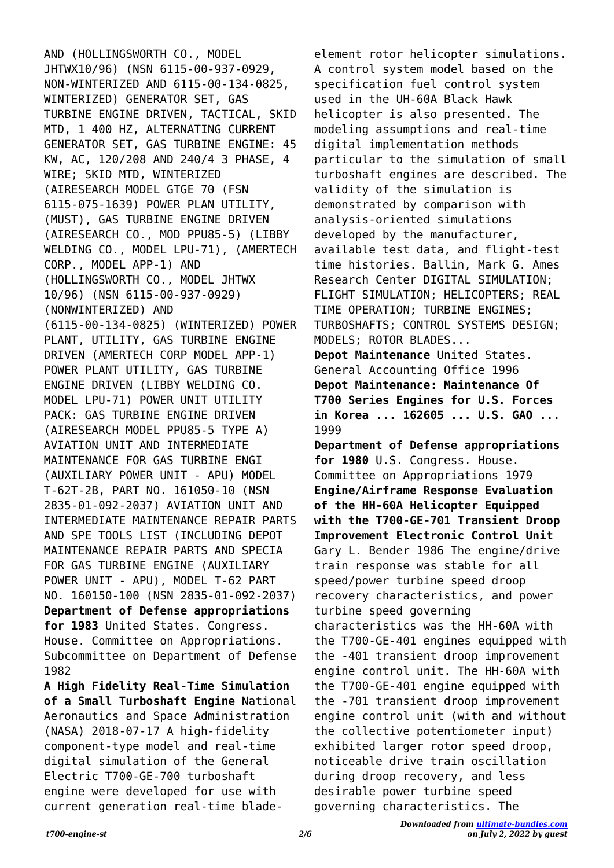AND (HOLLINGSWORTH CO., MODEL JHTWX10/96) (NSN 6115-00-937-0929, NON-WINTERIZED AND 6115-00-134-0825, WINTERIZED) GENERATOR SET, GAS TURBINE ENGINE DRIVEN, TACTICAL, SKID MTD, 1 400 HZ, ALTERNATING CURRENT GENERATOR SET, GAS TURBINE ENGINE: 45 KW, AC, 120/208 AND 240/4 3 PHASE, 4 WIRE; SKID MTD, WINTERIZED (AIRESEARCH MODEL GTGE 70 (FSN 6115-075-1639) POWER PLAN UTILITY, (MUST), GAS TURBINE ENGINE DRIVEN (AIRESEARCH CO., MOD PPU85-5) (LIBBY WELDING CO., MODEL LPU-71), (AMERTECH CORP., MODEL APP-1) AND (HOLLINGSWORTH CO., MODEL JHTWX 10/96) (NSN 6115-00-937-0929) (NONWINTERIZED) AND (6115-00-134-0825) (WINTERIZED) POWER PLANT, UTILITY, GAS TURBINE ENGINE DRIVEN (AMERTECH CORP MODEL APP-1) POWER PLANT UTILITY, GAS TURBINE ENGINE DRIVEN (LIBBY WELDING CO. MODEL LPU-71) POWER UNIT UTILITY PACK: GAS TURBINE ENGINE DRIVEN (AIRESEARCH MODEL PPU85-5 TYPE A) AVIATION UNIT AND INTERMEDIATE MAINTENANCE FOR GAS TURBINE ENGI (AUXILIARY POWER UNIT - APU) MODEL T-62T-2B, PART NO. 161050-10 (NSN 2835-01-092-2037) AVIATION UNIT AND INTERMEDIATE MAINTENANCE REPAIR PARTS AND SPE TOOLS LIST (INCLUDING DEPOT MAINTENANCE REPAIR PARTS AND SPECIA FOR GAS TURBINE ENGINE (AUXILIARY POWER UNIT - APU), MODEL T-62 PART NO. 160150-100 (NSN 2835-01-092-2037) **Department of Defense appropriations for 1983** United States. Congress. House. Committee on Appropriations. Subcommittee on Department of Defense 1982 **A High Fidelity Real-Time Simulation of a Small Turboshaft Engine** National Aeronautics and Space Administration

(NASA) 2018-07-17 A high-fidelity component-type model and real-time digital simulation of the General Electric T700-GE-700 turboshaft engine were developed for use with current generation real-time blade-

element rotor helicopter simulations. A control system model based on the specification fuel control system used in the UH-60A Black Hawk helicopter is also presented. The modeling assumptions and real-time digital implementation methods particular to the simulation of small turboshaft engines are described. The validity of the simulation is demonstrated by comparison with analysis-oriented simulations developed by the manufacturer, available test data, and flight-test time histories. Ballin, Mark G. Ames Research Center DIGITAL SIMULATION; FLIGHT SIMULATION; HELICOPTERS; REAL TIME OPERATION; TURBINE ENGINES; TURBOSHAFTS; CONTROL SYSTEMS DESIGN; MODELS; ROTOR BLADES... **Depot Maintenance** United States. General Accounting Office 1996 **Depot Maintenance: Maintenance Of T700 Series Engines for U.S. Forces in Korea ... 162605 ... U.S. GAO ...** 1999 **Department of Defense appropriations for 1980** U.S. Congress. House. Committee on Appropriations 1979 **Engine/Airframe Response Evaluation of the HH-60A Helicopter Equipped with the T700-GE-701 Transient Droop Improvement Electronic Control Unit** Gary L. Bender 1986 The engine/drive train response was stable for all speed/power turbine speed droop recovery characteristics, and power turbine speed governing

characteristics was the HH-60A with the T700-GE-401 engines equipped with the -401 transient droop improvement engine control unit. The HH-60A with the T700-GE-401 engine equipped with the -701 transient droop improvement engine control unit (with and without the collective potentiometer input) exhibited larger rotor speed droop, noticeable drive train oscillation during droop recovery, and less desirable power turbine speed governing characteristics. The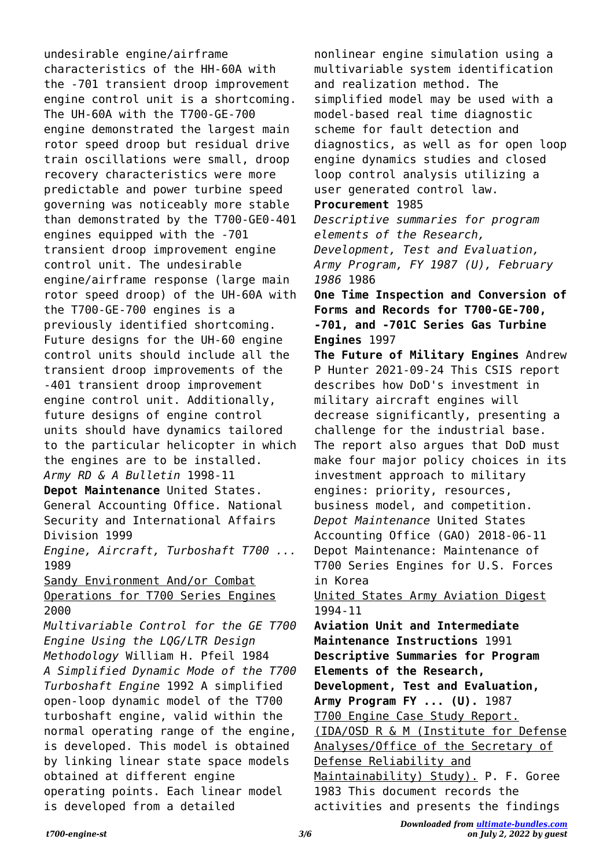undesirable engine/airframe characteristics of the HH-60A with the -701 transient droop improvement engine control unit is a shortcoming. The UH-60A with the T700-GE-700 engine demonstrated the largest main rotor speed droop but residual drive train oscillations were small, droop recovery characteristics were more predictable and power turbine speed governing was noticeably more stable than demonstrated by the T700-GE0-401 engines equipped with the -701 transient droop improvement engine control unit. The undesirable engine/airframe response (large main rotor speed droop) of the UH-60A with the T700-GE-700 engines is a previously identified shortcoming. Future designs for the UH-60 engine control units should include all the transient droop improvements of the -401 transient droop improvement engine control unit. Additionally, future designs of engine control units should have dynamics tailored to the particular helicopter in which the engines are to be installed. *Army RD & A Bulletin* 1998-11 **Depot Maintenance** United States. General Accounting Office. National Security and International Affairs Division 1999 *Engine, Aircraft, Turboshaft T700 ...* 1989 Sandy Environment And/or Combat Operations for T700 Series Engines 2000 *Multivariable Control for the GE T700 Engine Using the LQG/LTR Design Methodology* William H. Pfeil 1984 *A Simplified Dynamic Mode of the T700 Turboshaft Engine* 1992 A simplified open-loop dynamic model of the T700 turboshaft engine, valid within the normal operating range of the engine, is developed. This model is obtained by linking linear state space models

obtained at different engine operating points. Each linear model is developed from a detailed

nonlinear engine simulation using a multivariable system identification and realization method. The simplified model may be used with a model-based real time diagnostic scheme for fault detection and diagnostics, as well as for open loop engine dynamics studies and closed loop control analysis utilizing a user generated control law. **Procurement** 1985 *Descriptive summaries for program elements of the Research, Development, Test and Evaluation, Army Program, FY 1987 (U), February 1986* 1986 **One Time Inspection and Conversion of Forms and Records for T700-GE-700, -701, and -701C Series Gas Turbine Engines** 1997 **The Future of Military Engines** Andrew P Hunter 2021-09-24 This CSIS report describes how DoD's investment in military aircraft engines will decrease significantly, presenting a challenge for the industrial base. The report also argues that DoD must make four major policy choices in its investment approach to military engines: priority, resources, business model, and competition. *Depot Maintenance* United States Accounting Office (GAO) 2018-06-11 Depot Maintenance: Maintenance of T700 Series Engines for U.S. Forces in Korea United States Army Aviation Digest 1994-11 **Aviation Unit and Intermediate Maintenance Instructions** 1991 **Descriptive Summaries for Program Elements of the Research, Development, Test and Evaluation, Army Program FY ... (U).** 1987 T700 Engine Case Study Report. (IDA/OSD R & M (Institute for Defense Analyses/Office of the Secretary of Defense Reliability and Maintainability) Study). P. F. Goree 1983 This document records the

activities and presents the findings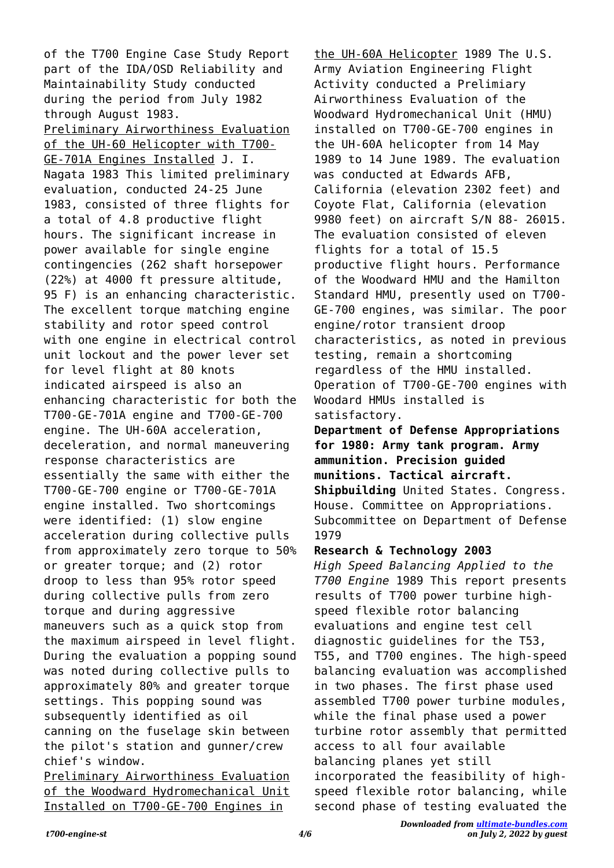of the T700 Engine Case Study Report part of the IDA/OSD Reliability and Maintainability Study conducted during the period from July 1982 through August 1983. Preliminary Airworthiness Evaluation of the UH-60 Helicopter with T700- GE-701A Engines Installed J. I. Nagata 1983 This limited preliminary evaluation, conducted 24-25 June 1983, consisted of three flights for a total of 4.8 productive flight hours. The significant increase in power available for single engine contingencies (262 shaft horsepower (22%) at 4000 ft pressure altitude, 95 F) is an enhancing characteristic. The excellent torque matching engine stability and rotor speed control with one engine in electrical control unit lockout and the power lever set for level flight at 80 knots indicated airspeed is also an enhancing characteristic for both the T700-GE-701A engine and T700-GE-700 engine. The UH-60A acceleration, deceleration, and normal maneuvering response characteristics are essentially the same with either the T700-GE-700 engine or T700-GE-701A engine installed. Two shortcomings were identified: (1) slow engine acceleration during collective pulls from approximately zero torque to 50% or greater torque; and (2) rotor droop to less than 95% rotor speed during collective pulls from zero torque and during aggressive maneuvers such as a quick stop from the maximum airspeed in level flight. During the evaluation a popping sound was noted during collective pulls to approximately 80% and greater torque settings. This popping sound was subsequently identified as oil canning on the fuselage skin between the pilot's station and gunner/crew chief's window.

Preliminary Airworthiness Evaluation of the Woodward Hydromechanical Unit Installed on T700-GE-700 Engines in

the UH-60A Helicopter 1989 The U.S. Army Aviation Engineering Flight Activity conducted a Prelimiary Airworthiness Evaluation of the Woodward Hydromechanical Unit (HMU) installed on T700-GE-700 engines in the UH-60A helicopter from 14 May 1989 to 14 June 1989. The evaluation was conducted at Edwards AFB, California (elevation 2302 feet) and Coyote Flat, California (elevation 9980 feet) on aircraft S/N 88- 26015. The evaluation consisted of eleven flights for a total of 15.5 productive flight hours. Performance of the Woodward HMU and the Hamilton Standard HMU, presently used on T700- GE-700 engines, was similar. The poor engine/rotor transient droop characteristics, as noted in previous testing, remain a shortcoming regardless of the HMU installed. Operation of T700-GE-700 engines with Woodard HMUs installed is satisfactory.

**Department of Defense Appropriations for 1980: Army tank program. Army ammunition. Precision guided munitions. Tactical aircraft. Shipbuilding** United States. Congress. House. Committee on Appropriations. Subcommittee on Department of Defense 1979

## **Research & Technology 2003**

*High Speed Balancing Applied to the T700 Engine* 1989 This report presents results of T700 power turbine highspeed flexible rotor balancing evaluations and engine test cell diagnostic guidelines for the T53, T55, and T700 engines. The high-speed balancing evaluation was accomplished in two phases. The first phase used assembled T700 power turbine modules, while the final phase used a power turbine rotor assembly that permitted access to all four available balancing planes yet still incorporated the feasibility of highspeed flexible rotor balancing, while second phase of testing evaluated the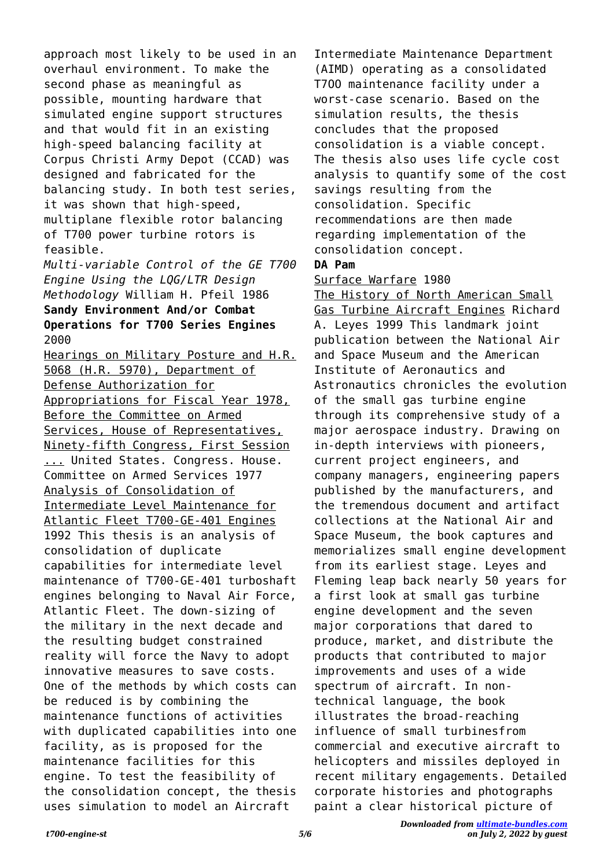approach most likely to be used in an overhaul environment. To make the second phase as meaningful as possible, mounting hardware that simulated engine support structures and that would fit in an existing high-speed balancing facility at Corpus Christi Army Depot (CCAD) was designed and fabricated for the balancing study. In both test series, it was shown that high-speed, multiplane flexible rotor balancing of T700 power turbine rotors is feasible.

*Multi-variable Control of the GE T700 Engine Using the LQG/LTR Design Methodology* William H. Pfeil 1986 **Sandy Environment And/or Combat Operations for T700 Series Engines** 2000

Hearings on Military Posture and H.R. 5068 (H.R. 5970), Department of Defense Authorization for Appropriations for Fiscal Year 1978, Before the Committee on Armed Services, House of Representatives, Ninety-fifth Congress, First Session ... United States. Congress. House. Committee on Armed Services 1977 Analysis of Consolidation of Intermediate Level Maintenance for Atlantic Fleet T700-GE-401 Engines 1992 This thesis is an analysis of consolidation of duplicate capabilities for intermediate level maintenance of T700-GE-401 turboshaft engines belonging to Naval Air Force, Atlantic Fleet. The down-sizing of the military in the next decade and the resulting budget constrained reality will force the Navy to adopt innovative measures to save costs. One of the methods by which costs can be reduced is by combining the maintenance functions of activities with duplicated capabilities into one facility, as is proposed for the maintenance facilities for this engine. To test the feasibility of the consolidation concept, the thesis uses simulation to model an Aircraft

Intermediate Maintenance Department (AIMD) operating as a consolidated T7OO maintenance facility under a worst-case scenario. Based on the simulation results, the thesis concludes that the proposed consolidation is a viable concept. The thesis also uses life cycle cost analysis to quantify some of the cost savings resulting from the consolidation. Specific recommendations are then made regarding implementation of the consolidation concept.

## **DA Pam**

## Surface Warfare 1980

The History of North American Small Gas Turbine Aircraft Engines Richard A. Leyes 1999 This landmark joint publication between the National Air and Space Museum and the American Institute of Aeronautics and Astronautics chronicles the evolution of the small gas turbine engine through its comprehensive study of a major aerospace industry. Drawing on in-depth interviews with pioneers, current project engineers, and company managers, engineering papers published by the manufacturers, and the tremendous document and artifact collections at the National Air and Space Museum, the book captures and memorializes small engine development from its earliest stage. Leyes and Fleming leap back nearly 50 years for a first look at small gas turbine engine development and the seven major corporations that dared to produce, market, and distribute the products that contributed to major improvements and uses of a wide spectrum of aircraft. In nontechnical language, the book illustrates the broad-reaching influence of small turbinesfrom commercial and executive aircraft to helicopters and missiles deployed in recent military engagements. Detailed corporate histories and photographs paint a clear historical picture of